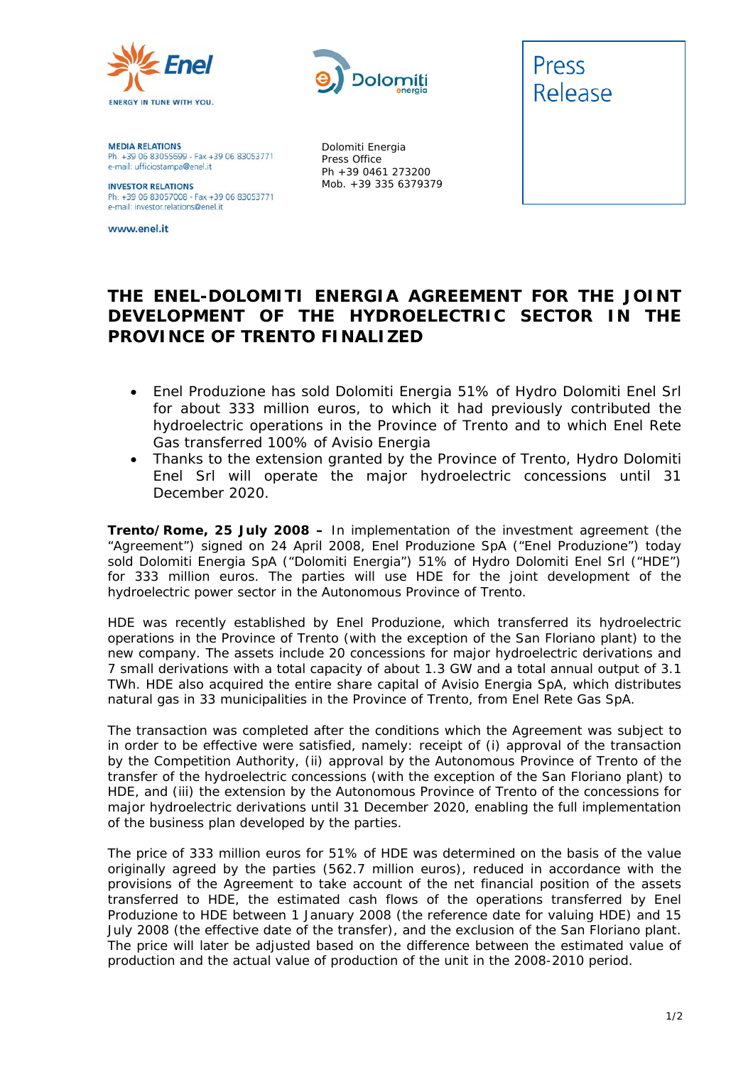



Dolomiti Energia Press Office Ph +39 0461 273200 Mob. +39 335 6379379

**MEDIA RELATIONS** Ph. +39 06 83055699 - Fax +39 06 83053771 e-mail: ufficiostampa@enel.it

**INVESTOR RELATIONS**<br>Ph. +39 06 83057008 - Fax +39 06 83053771 e-mail: investor.relations@enel.it

www.enel.it



Press

## **THE ENEL-DOLOMITI ENERGIA AGREEMENT FOR THE JOINT DEVELOPMENT OF THE HYDROELECTRIC SECTOR IN THE PROVINCE OF TRENTO FINALIZED**

- *Enel Produzione has sold Dolomiti Energia 51% of Hydro Dolomiti Enel Srl for about 333 million euros, to which it had previously contributed the hydroelectric operations in the Province of Trento and to which Enel Rete Gas transferred 100% of Avisio Energia*
- *Thanks to the extension granted by the Province of Trento, Hydro Dolomiti Enel Srl will operate the major hydroelectric concessions until 31 December 2020.*

**Trento/Rome, 25 July 2008 –** In implementation of the investment agreement (the "Agreement") signed on 24 April 2008, Enel Produzione SpA ("Enel Produzione") today sold Dolomiti Energia SpA ("Dolomiti Energia") 51% of Hydro Dolomiti Enel Srl ("HDE") for 333 million euros. The parties will use HDE for the joint development of the hydroelectric power sector in the Autonomous Province of Trento.

HDE was recently established by Enel Produzione, which transferred its hydroelectric operations in the Province of Trento (with the exception of the San Floriano plant) to the new company. The assets include 20 concessions for major hydroelectric derivations and 7 small derivations with a total capacity of about 1.3 GW and a total annual output of 3.1 TWh. HDE also acquired the entire share capital of Avisio Energia SpA, which distributes natural gas in 33 municipalities in the Province of Trento, from Enel Rete Gas SpA.

The transaction was completed after the conditions which the Agreement was subject to in order to be effective were satisfied, namely: receipt of (i) approval of the transaction by the Competition Authority, (ii) approval by the Autonomous Province of Trento of the transfer of the hydroelectric concessions (with the exception of the San Floriano plant) to HDE, and (iii) the extension by the Autonomous Province of Trento of the concessions for major hydroelectric derivations until 31 December 2020, enabling the full implementation of the business plan developed by the parties.

The price of 333 million euros for 51% of HDE was determined on the basis of the value originally agreed by the parties (562.7 million euros), reduced in accordance with the provisions of the Agreement to take account of the net financial position of the assets transferred to HDE, the estimated cash flows of the operations transferred by Enel Produzione to HDE between 1 January 2008 (the reference date for valuing HDE) and 15 July 2008 (the effective date of the transfer), and the exclusion of the San Floriano plant. The price will later be adjusted based on the difference between the estimated value of production and the actual value of production of the unit in the 2008-2010 period.